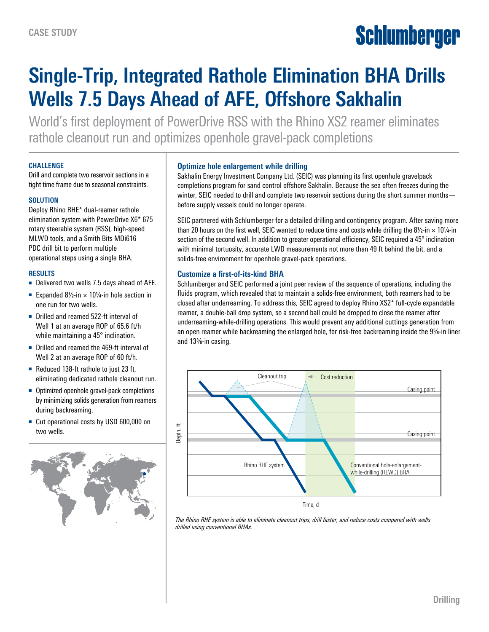# Schlumberger

## **Single-Trip, Integrated Rathole Elimination BHA Drills Wells 7.5 Days Ahead of AFE, Offshore Sakhalin**

World's first deployment of PowerDrive RSS with the Rhino XS2 reamer eliminates rathole cleanout run and optimizes openhole gravel-pack completions

#### **CHALLENGE**

Drill and complete two reservoir sections in a tight time frame due to seasonal constraints.

#### **SOLUTION**

Deploy Rhino RHE\* dual-reamer rathole elimination system with PowerDrive X6\* 675 rotary steerable system (RSS), high-speed MLWD tools, and a Smith Bits MDi616 PDC drill bit to perform multiple operational steps using a single BHA.

#### **RESULTS**

- Delivered two wells 7.5 days ahead of AFE.
- Expanded  $8\frac{1}{2}$ -in × 10 $\frac{1}{4}$ -in hole section in one run for two wells.
- Drilled and reamed 522-ft interval of Well 1 at an average ROP of 65.6 ft/h while maintaining a 45° inclination.
- Drilled and reamed the 469-ft interval of Well 2 at an average ROP of 60 ft/h.
- Reduced 138-ft rathole to just 23 ft, eliminating dedicated rathole cleanout run.
- Optimized openhole gravel-pack completions by minimizing solids generation from reamers during backreaming.
- Cut operational costs by USD 600,000 on two wells.



#### **Optimize hole enlargement while drilling**

Sakhalin Energy Investment Company Ltd. (SEIC) was planning its first openhole gravelpack completions program for sand control offshore Sakhalin. Because the sea often freezes during the winter, SEIC needed to drill and complete two reservoir sections during the short summer months before supply vessels could no longer operate.

SEIC partnered with Schlumberger for a detailed drilling and contingency program. After saving more than 20 hours on the first well, SEIC wanted to reduce time and costs while drilling the 8½-in  $\times$  10¼-in section of the second well. In addition to greater operational efficiency, SEIC required a 45° inclination with minimal tortuosity, accurate LWD measurements not more than 49 ft behind the bit, and a solids-free environment for openhole gravel-pack operations.

#### **Customize a first-of-its-kind BHA**

Schlumberger and SEIC performed a joint peer review of the sequence of operations, including the fluids program, which revealed that to maintain a solids-free environment, both reamers had to be closed after underreaming. To address this, SEIC agreed to deploy Rhino XS2\* full-cycle expandable reamer, a double-ball drop system, so a second ball could be dropped to close the reamer after underreaming-while-drilling operations. This would prevent any additional cuttings generation from an open reamer while backreaming the enlarged hole, for risk-free backreaming inside the 9%-in liner and 133/8-in casing.



*The Rhino RHE system is able to eliminate cleanout trips, drill faster, and reduce costs compared with wells*